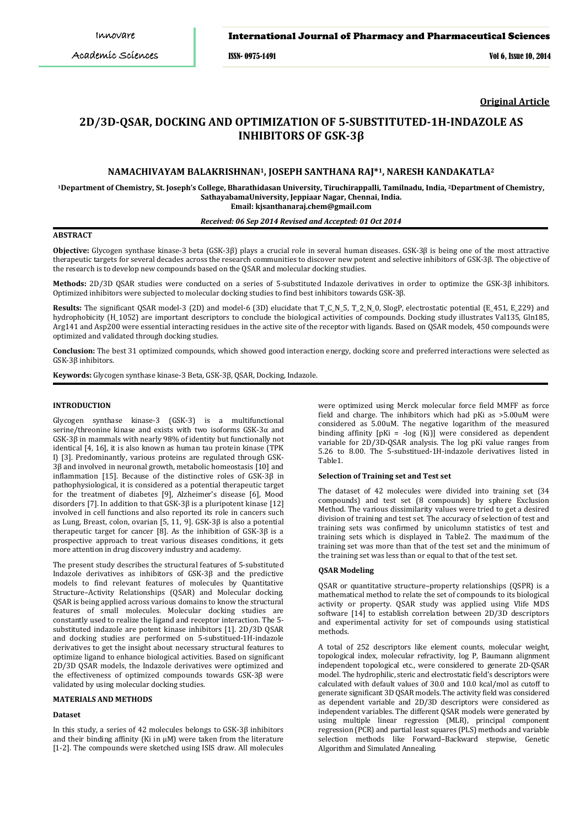## International Journal of Pharmacy and Pharmaceutical Sciences

ISSN- 0975-1491 Vol 6, Issue 10, 2014

**Original Article**

# **2D/3D-QSAR, DOCKING AND OPTIMIZATION OF 5-SUBSTITUTED-1H-INDAZOLE AS INHIBITORS OF GSK-3β**

## **NAMACHIVAYAM BALAKRISHNAN1, JOSEPH SANTHANA RAJ\*1, NARESH KANDAKATLA2**

**1Department of Chemistry, St. Joseph's College, Bharathidasan University, Tiruchirappalli, Tamilnadu, India, 2 Department of Chemistry, SathayabamaUniversity, Jeppiaar Nagar, Chennai, India. Email: kjsanthanaraj.chem@gmail.com**

## *Received: 06 Sep 2014 Revised and Accepted: 01 Oct 2014*

## **ABSTRACT**

**Objective:** Glycogen synthase kinase-3 beta (GSK-3β) plays a crucial role in several human diseases. GSK-3β is being one of the most attractive therapeutic targets for several decades across the research communities to discover new potent and selective inhibitors of GSK-3β. The objective of the research is to develop new compounds based on the QSAR and molecular docking studies.

**Methods:** 2D/3D QSAR studies were conducted on a series of 5-substituted Indazole derivatives in order to optimize the GSK-3β inhibitors. Optimized inhibitors were subjected to molecular docking studies to find best inhibitors towards GSK-3β.

**Results:** The significant QSAR model-3 (2D) and model-6 (3D) elucidate that T\_C\_N\_5, T\_2\_N\_0, SlogP, electrostatic potential (E\_451, E\_229) and hydrophobicity (H\_1052) are important descriptors to conclude the biological activities of compounds. Docking study illustrates Val135, Gln185, Arg141 and Asp200 were essential interacting residues in the active site of the receptor with ligands. Based on QSAR models, 450 compounds were optimized and validated through docking studies.

**Conclusion:** The best 31 optimized compounds, which showed good interaction energy, docking score and preferred interactions were selected as GSK-3β inhibitors.

**Keywords:** Glycogen synthase kinase-3 Beta, GSK-3β, QSAR, Docking, Indazole.

## **INTRODUCTION**

Glycogen synthase kinase-3 (GSK-3) is a multifunctional serine/threonine kinase and exists with two isoforms GSK-3α and GSK-3β in mammals with nearly 98% of identity but functionally not identical [4, 16], it is also known as human tau protein kinase (TPK I) [3]. Predominantly, various proteins are regulated through GSK-3β and involved in neuronal growth, metabolic homeostasis [10] and inflammation [15]. Because of the distinctive roles of GSK-3β in pathophysiological, it is considered as a potential therapeutic target for the treatment of diabetes [9], Alzheimer's disease [6], Mood disorders [7]. In addition to that GSK-3β is a pluripotent kinase [12] involved in cell functions and also reported its role in cancers such as Lung, Breast, colon, ovarian [5, 11, 9]. GSK-3β is also a potential therapeutic target for cancer [8]. As the inhibition of GSK-3β is a prospective approach to treat various diseases conditions, it gets more attention in drug discovery industry and academy.

The present study describes the structural features of 5-substituted Indazole derivatives as inhibitors of GSK-3β and the predictive models to find relevant features of molecules by Quantitative Structure–Activity Relationships (QSAR) and Molecular docking. QSAR is being applied across various domains to know the structural features of small molecules. Molecular docking studies are constantly used to realize the ligand and receptor interaction. The 5 substituted indazole are potent kinase inhibitors [1]. 2D/3D QSAR and docking studies are performed on 5-substitued-1H-indazole derivatives to get the insight about necessary structural features to optimize ligand to enhance biological activities. Based on significant 2D/3D QSAR models, the Indazole derivatives were optimized and the effectiveness of optimized compounds towards GSK-3β were validated by using molecular docking studies.

#### **MATERIALS AND METHODS**

## **Dataset**

In this study, a series of 42 molecules belongs to GSK-3β inhibitors and their binding affinity (Ki in μM) were taken from the literature [1-2]. The compounds were sketched using ISIS draw. All molecules were optimized using Merck molecular force field MMFF as force field and charge. The inhibitors which had pKi as >5.00uM were considered as 5.00uM. The negative logarithm of the measured binding affinity [pKi = -log (Ki)] were considered as dependent variable for 2D/3D-QSAR analysis. The log pKi value ranges from 5.26 to 8.00. The 5-substitued-1H-indazole derivatives listed in Table1.

#### **Selection of Training set and Test set**

The dataset of 42 molecules were divided into training set (34 compounds) and test set (8 compounds) by sphere Exclusion Method. The various dissimilarity values were tried to get a desired division of training and test set. The accuracy of selection of test and training sets was confirmed by unicolumn statistics of test and training sets which is displayed in Table2. The maximum of the training set was more than that of the test set and the minimum of the training set was less than or equal to that of the test set.

### **QSAR Modeling**

QSAR or quantitative structure–property relationships (QSPR) is a mathematical method to relate the set of compounds to its biological activity or property. QSAR study was applied using Vlife MDS software [14] to establish correlation between 2D/3D descriptors and experimental activity for set of compounds using statistical methods.

A total of 252 descriptors like element counts, molecular weight, topological index, molecular refractivity, log P, Baumann alignment independent topological etc., were considered to generate 2D-QSAR model. The hydrophilic, steric and electrostatic field's descriptors were calculated with default values of 30.0 and 10.0 kcal/mol as cutoff to generate significant 3D QSAR models. The activity field was considered as dependent variable and 2D/3D descriptors were considered as independent variables. The different QSAR models were generated by using multiple linear regression (MLR), principal component regression (PCR) and partial least squares (PLS) methods and variable selection methods like Forward–Backward stepwise, Genetic Algorithm and Simulated Annealing.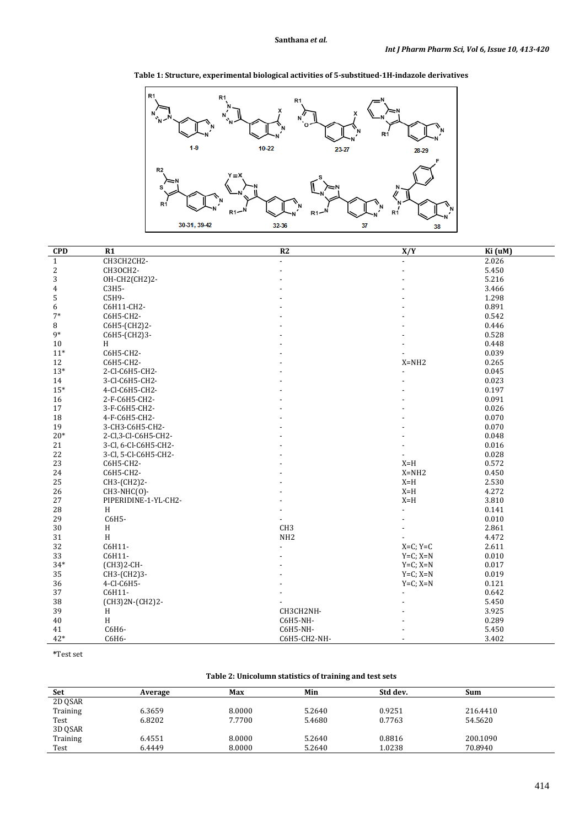**Table 1: Structure, experimental biological activities of 5-substitued-1H-indazole derivatives**



| <b>CPD</b>     | R1                   | R2              | X/Y                      | Ki (uM) |
|----------------|----------------------|-----------------|--------------------------|---------|
| $\mathbf{1}$   | CH3CH2CH2-           |                 |                          | 2.026   |
| $\overline{c}$ | CH3OCH2-             |                 |                          | 5.450   |
| 3              | OH-CH2(CH2)2-        |                 |                          | 5.216   |
| 4              | C3H5-                |                 |                          | 3.466   |
| 5              | C5H9-                |                 |                          | 1.298   |
| 6              | C6H11-CH2-           |                 |                          | 0.891   |
| $7*$           | C6H5-CH2-            |                 |                          | 0.542   |
| 8              | C6H5-(CH2)2-         |                 |                          | 0.446   |
| $9*$           | C6H5-(CH2)3-         |                 |                          | 0.528   |
| $10\,$         | H                    |                 |                          | 0.448   |
| $11*$          | C6H5-CH2-            |                 |                          | 0.039   |
| 12             | C6H5-CH2-            |                 | $X = NH2$                | 0.265   |
| $13*$          | 2-CI-C6H5-CH2-       |                 |                          | 0.045   |
| 14             | 3-CI-C6H5-CH2-       |                 |                          | 0.023   |
| $15*$          | 4-Cl-C6H5-CH2-       |                 |                          | 0.197   |
| 16             | 2-F-C6H5-CH2-        |                 |                          | 0.091   |
| 17             | 3-F-C6H5-CH2-        |                 |                          | 0.026   |
| 18             | 4-F-C6H5-CH2-        |                 |                          | 0.070   |
| 19             | 3-CH3-C6H5-CH2-      |                 |                          | 0.070   |
| $20*$          | 2-Cl, 3-Cl-C6H5-CH2- |                 |                          | 0.048   |
| 21             | 3-Cl, 6-Cl-C6H5-CH2- |                 |                          | 0.016   |
| 22             | 3-Cl, 5-Cl-C6H5-CH2- |                 |                          | 0.028   |
| 23             | C6H5-CH2-            |                 | $X=H$                    | 0.572   |
| 24             | C6H5-CH2-            |                 | $X = NH2$                | 0.450   |
| 25             | CH3-(CH2)2-          |                 | $X=H$                    | 2.530   |
| 26             | CH3-NHC(0)-          |                 | $X=H$                    | 4.272   |
| 27             | PIPERIDINE-1-YL-CH2- |                 | $X=H$                    | 3.810   |
| 28             | H                    |                 |                          | 0.141   |
| 29             | C6H5-                |                 |                          | 0.010   |
| 30             | H                    | CH <sub>3</sub> |                          | 2.861   |
| 31             | H                    | NH <sub>2</sub> |                          | 4.472   |
| 32             | C6H11-               |                 | $X=C; Y=C$               | 2.611   |
| 33             | C6H11-               |                 | $Y=C; X=N$               | 0.010   |
| $34*$          | (CH3)2-CH-           |                 | $Y=C; X=N$               | 0.017   |
| 35             | CH3-(CH2)3-          |                 | $Y=C; X=N$               | 0.019   |
| 36             | 4-CI-C6H5-           |                 | $Y=C; X=N$               | 0.121   |
| 37             | C6H11-               |                 |                          | 0.642   |
| 38             | (CH3)2N-(CH2)2-      |                 |                          | 5.450   |
| 39             | H                    | CH3CH2NH-       |                          | 3.925   |
| 40             | H                    | C6H5-NH-        |                          | 0.289   |
| 41             | C6H6-                | C6H5-NH-        |                          | 5.450   |
| 42*            | C6H6-                | C6H5-CH2-NH-    | $\overline{\phantom{a}}$ | 3.402   |

**\***Test set

# **Table 2: Unicolumn statistics of training and test sets**

| Set      | Average | Max    | Min    | Std dev. | Sum      |
|----------|---------|--------|--------|----------|----------|
| 2D QSAR  |         |        |        |          |          |
| Training | 6.3659  | 8.0000 | 5.2640 | 0.9251   | 216.4410 |
| Test     | 6.8202  | 7.7700 | 5.4680 | 0.7763   | 54.5620  |
| 3D QSAR  |         |        |        |          |          |
| Training | 6.4551  | 8.0000 | 5.2640 | 0.8816   | 200.1090 |
| Test     | 6.4449  | 8.0000 | 5.2640 | 1.0238   | 70.8940  |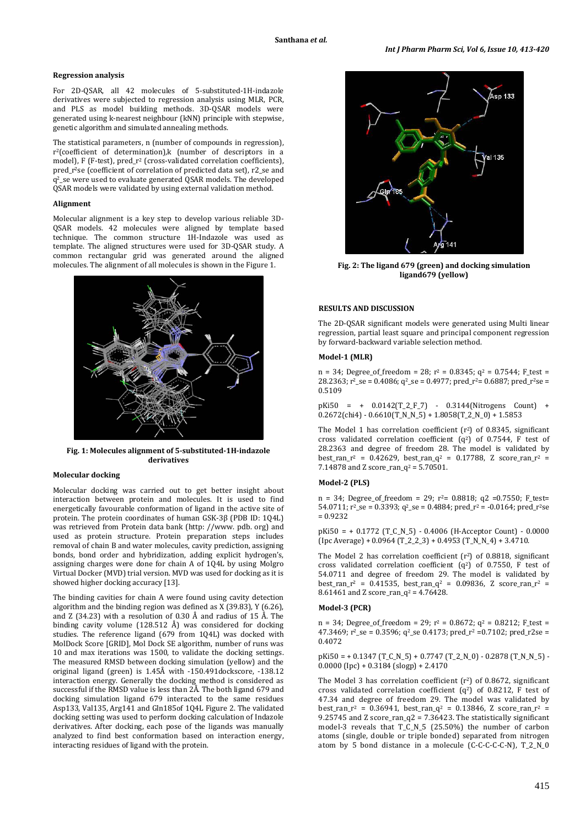## **Regression analysis**

For 2D-QSAR, all 42 molecules of 5-substituted-1H-indazole derivatives were subjected to regression analysis using MLR, PCR, and PLS as model building methods. 3D-QSAR models were generated using k-nearest neighbour (kNN) principle with stepwise, genetic algorithm and simulated annealing methods.

The statistical parameters, n (number of compounds in regression), r2(coefficient of determination)*,*k (number of descriptors in a model), F (F-test), pred\_r<sup>2</sup> (cross-validated correlation coefficients), pred\_r<sup>2</sup>se (coefficient of correlation of predicted data set), r2\_se and q2 \_se were used to evaluate generated QSAR models. The developed QSAR models were validated by using external validation method.

### **Alignment**

Molecular alignment is a key step to develop various reliable 3D-QSAR models. 42 molecules were aligned by template based technique. The common structure 1H-Indazole was used as template. The aligned structures were used for 3D-QSAR study. A common rectangular grid was generated around the aligned molecules. The alignment of all molecules is shown in the Figure 1.



**Fig. 1: Molecules alignment of 5-substituted-1H-indazole derivatives**

## **Molecular docking**

Molecular docking was carried out to get better insight about interaction between protein and molecules. It is used to find energetically favourable conformation of ligand in the active site of protein. The protein coordinates of human GSK-3β (PDB ID: 1Q4L) was retrieved from Protein data bank (http: [//www. pdb. org](http://www.pdb.org/)) and used as protein structure. Protein preparation steps includes removal of chain B and water molecules, cavity prediction, assigning bonds, bond order and hybridization, adding explicit hydrogen's, assigning charges were done for chain A of 1Q4L by using Molgro Virtual Docker (MVD) trial version. MVD was used for docking as it is showed higher docking accuracy [13].

The binding cavities for chain A were found using cavity detection algorithm and the binding region was defined as  $X(39.83)$ , Y (6.26), and Z (34.23) with a resolution of 0.30 Å and radius of 15 Å. The binding cavity volume (128.512 Å) was considered for docking studies. The reference ligand (679 from 1Q4L) was docked with MolDock Score [GRID], Mol Dock SE algorithm, number of runs was 10 and max iterations was 1500, to validate the docking settings. The measured RMSD between docking simulation (yellow) and the original ligand (green) is 1.45Å with -150.491dockscore, -138.12 interaction energy. Generally the docking method is considered as successful if the RMSD value is less than 2Å. The both ligand 679 and docking simulation ligand 679 interacted to the same residues Asp133, Val135, Arg141 and Gln185of 1Q4L Figure 2. The validated docking setting was used to perform docking calculation of Indazole derivatives. After docking, each pose of the ligands was manually analyzed to find best conformation based on interaction energy, interacting residues of ligand with the protein.



**Fig. 2: The ligand 679 (green) and docking simulation ligand679 (yellow)**

# **RESULTS AND DISCUSSION**

The 2D-QSAR significant models were generated using Multi linear regression, partial least square and principal component regression by forward-backward variable selection method.

### **Model-1 (MLR)**

 $n = 34$ ; Degree of freedom = 28;  $r^2 = 0.8345$ ;  $q^2 = 0.7544$ ; F test =  $28.2363$ ;  $r^2$ \_se = 0.4086;  $q^2$ \_se = 0.4977; pred\_r<sup>2</sup>= 0.6887; pred\_r<sup>2</sup>se = 0.5109

pKi50 = + 0.0142(T\_2\_F\_7) - 0.3144(Nitrogens Count) +  $0.2672$ (chi4) -  $0.6610$ (T\_N\_N\_5) +  $1.8058$ (T\_2\_N\_0) +  $1.5853$ 

The Model 1 has correlation coefficient  $(r^2)$  of 0.8345, significant cross validated correlation coefficient  $(q^2)$  of 0.7544, F test of 28.2363 and degree of freedom 28. The model is validated by best\_ran\_r<sup>2</sup> = 0.42629, best\_ran\_q<sup>2</sup> = 0.17788, Z score\_ran\_r<sup>2</sup> = 7.14878 and Z score\_ran\_q<sup>2</sup> = 5.70501.

## **Model-2 (PLS)**

 $n = 34$ ; Degree\_of\_freedom = 29;  $r^2 = 0.8818$ ; q2 = 0.7550; F\_test= 54.0711;  $r^2$ \_se = 0.3393; q<sup>2</sup>\_se = 0.4884; pred\_r<sup>2</sup> = -0.0164; pred\_r<sup>2</sup>se  $= 0.9232$ 

 $pKi50 = +0.1772$  (T\_C\_N\_5) - 0.4006 (H-Acceptor Count) - 0.0000  $(Ipc Average) + 0.0964 (T_2_2_3) + 0.4953 (T_N_N_4) + 3.4710.$ 

The Model 2 has correlation coefficient (r<sup>2</sup>) of 0.8818, significant cross validated correlation coefficient  $(q^2)$  of 0.7550, F test of 54.0711 and degree of freedom 29. The model is validated by best\_ran\_r<sup>2</sup> = 0.41535, best\_ran\_q<sup>2</sup> = 0.09836, Z score\_ran\_r<sup>2</sup> =  $8.61461$  and  $2$  score\_ran\_q<sup>2</sup> = 4.76428.

### **Model-3 (PCR)**

 $n = 34$ ; Degree\_of\_freedom = 29;  $r^2 = 0.8672$ ;  $q^2 = 0.8212$ ; F\_test =  $47.3469$ ;  $r^2$ \_se = 0.3596; q<sup>2</sup>\_se 0.4173; pred\_r<sup>2</sup> =0.7102; pred\_r2se = 0.4072

 $pKi50 = +0.1347$  (T C N 5) + 0.7747 (T 2 N 0) - 0.2878 (T N N 5) - $0.0000$  (Ipc) + 0.3184 (slogp) + 2.4170

The Model 3 has correlation coefficient (r<sup>2</sup>) of 0.8672, significant cross validated correlation coefficient  $(q^2)$  of 0.8212, F test of 47.34 and degree of freedom 29. The model was validated by best\_ran\_r<sup>2</sup> = 0.36941, best\_ran\_q<sup>2</sup> = 0.13846, Z score\_ran\_r<sup>2</sup> = 9.25745 and Z score\_ran\_q2 =  $7.36423$ . The statistically significant model-3 reveals that T\_C\_N\_5 (25.50%) the number of carbon atoms (single, double or triple bonded) separated from nitrogen atom by 5 bond distance in a molecule (C-C-C-C-C-N), T\_2\_N\_0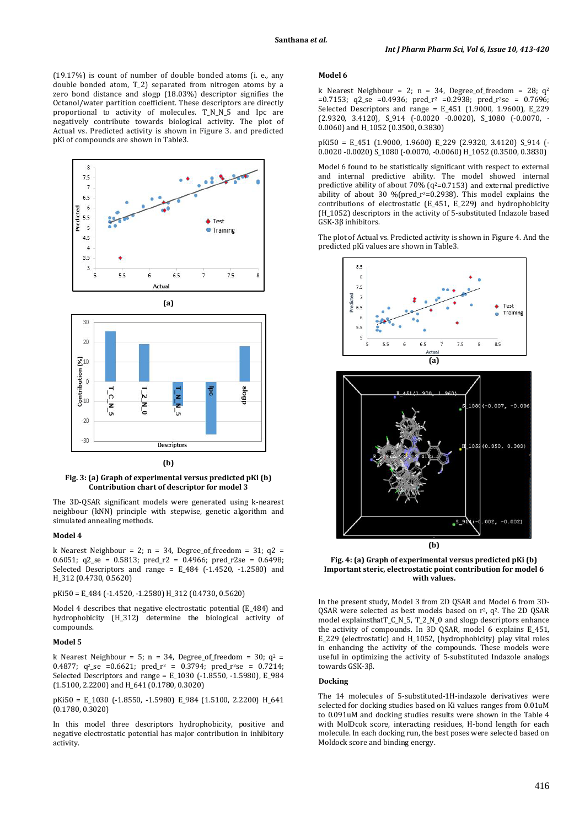(19.17%) is count of number of double bonded atoms (i. e., any double bonded atom, T\_2) separated from nitrogen atoms by a zero bond distance and slogp (18.03%) descriptor signifies the Octanol/water partition coefficient. These descriptors are directly proportional to activity of molecules. T\_N\_N\_5 and Ipc are negatively contribute towards biological activity. The plot of Actual vs. Predicted activity is shown in Figure 3. and predicted pKi of compounds are shown in Table3.





#### **(b)**

#### **Fig. 3: (a) Graph of experimental versus predicted pKi (b) Contribution chart of descriptor for model 3**

The 3D-QSAR significant models were generated using k-nearest neighbour (kNN) principle with stepwise, genetic algorithm and simulated annealing methods.

## **Model 4**

k Nearest Neighbour = 2; n = 34, Degree\_of\_freedom = 31;  $q2$  = 0.6051;  $q2$ \_se = 0.5813; pred\_r2 = 0.4966; pred\_r2se = 0.6498; Selected Descriptors and range =  $E_484$  (-1.4520, -1.2580) and H\_312 (0.4730, 0.5620)

#### pKi50 = E\_484 (-1.4520, -1.2580) H\_312 (0.4730, 0.5620)

Model 4 describes that negative electrostatic potential (E\_484) and hydrophobicity (H\_312) determine the biological activity of compounds.

## **Model 5**

k Nearest Neighbour = 5; n = 34, Degree\_of\_freedom = 30;  $q^2$  =  $0.4877$ ;  $q^2$ \_se =  $0.6621$ ; pred\_r<sup>2</sup> =  $0.3794$ ; pred\_r<sup>2</sup>se =  $0.7214$ ; Selected Descriptors and range =  $E$  1030 (-1.8550, -1.5980),  $E$  984 (1.5100, 2.2200) and H\_641 (0.1780, 0.3020)

pKi50 = E\_1030 (-1.8550, -1.5980) E\_984 (1.5100, 2.2200) H\_641 (0.1780, 0.3020)

In this model three descriptors hydrophobicity, positive and negative electrostatic potential has major contribution in inhibitory activity.

## **Model 6**

k Nearest Neighbour = 2; n = 34, Degree\_of\_freedom = 28;  $q^2$  $=0.7153$ ; q2\_se  $=0.4936$ ; pred\_r<sup>2</sup>  $=0.2938$ ; pred\_r<sup>2</sup>se = 0.7696; Selected Descriptors and range = E\_451 (1.9000, 1.9600), E\_229 (2.9320, 3.4120), S\_914 (-0.0020 -0.0020), S\_1080 (-0.0070, - 0.0060) and H\_1052 (0.3500, 0.3830)

pKi50 = E\_451 (1.9000, 1.9600) E\_229 (2.9320, 3.4120) S\_914 (- 0.0020 -0.0020) S\_1080 (-0.0070, -0.0060) H\_1052 (0.3500, 0.3830)

Model 6 found to be statistically significant with respect to external and internal predictive ability. The model showed internal predictive ability of about 70%  $(q^2=0.7153)$  and external predictive ability of about 30 %( $pred_r^2 = 0.2938$ ). This model explains the contributions of electrostatic (E\_451, E\_229) and hydrophobicity (H\_1052) descriptors in the activity of 5-substituted Indazole based GSK-3β inhibitors.

The plot of Actual vs. Predicted activity is shown in Figure 4. And the predicted pKi values are shown in Table3.



**Fig. 4: (a) Graph of experimental versus predicted pKi (b) Important steric, electrostatic point contribution for model 6 with values.**

In the present study, Model 3 from 2D QSAR and Model 6 from 3D- $\text{QSAR}$  were selected as best models based on  $r^2$ ,  $q^2$ . The 2D  $\text{QSAR}$ model explainsthatT\_C\_N\_5, T\_2\_N\_0 and slogp descriptors enhance the activity of compounds. In 3D QSAR, model 6 explains E\_451, E\_229 (electrostatic) and H\_1052, (hydrophobicity) play vital roles in enhancing the activity of the compounds. These models were useful in optimizing the activity of 5-substituted Indazole analogs towards GSK-3β.

## **Docking**

The 14 molecules of 5-substituted-1H-indazole derivatives were selected for docking studies based on Ki values ranges from 0.01uM to 0.091uM and docking studies results were shown in the Table 4 with MolDcok score, interacting residues, H-bond length for each molecule. In each docking run, the best poses were selected based on Moldock score and binding energy.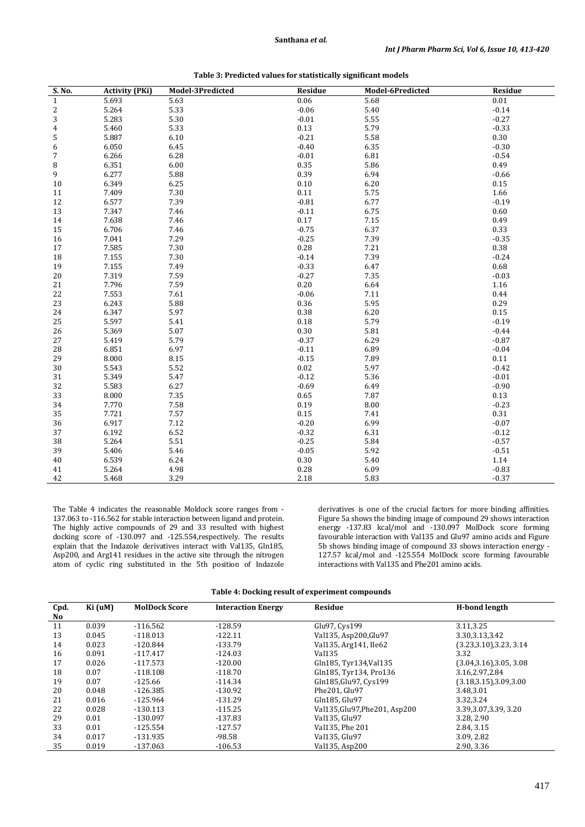**Santhana** *et al.*

| S. No.                  | <b>Activity (PKi)</b> | Model-3Predicted | <b>Residue</b> | Model-6Predicted | Residue  |
|-------------------------|-----------------------|------------------|----------------|------------------|----------|
| $\,1\,$                 | 5.693                 | 5.63             | 0.06           | 5.68             | $0.01\,$ |
| $\overline{\mathbf{c}}$ | 5.264                 | 5.33             | $-0.06$        | 5.40             | $-0.14$  |
| 3                       | 5.283                 | 5.30             | $-0.01$        | 5.55             | $-0.27$  |
| 4                       | 5.460                 | 5.33             | 0.13           | 5.79             | $-0.33$  |
| 5                       | 5.887                 | 6.10             | $-0.21$        | 5.58             | 0.30     |
| 6                       | 6.050                 | 6.45             | $-0.40$        | 6.35             | $-0.30$  |
| $\overline{7}$          | 6.266                 | 6.28             | $-0.01$        | 6.81             | $-0.54$  |
| 8                       | 6.351                 | 6.00             | 0.35           | 5.86             | 0.49     |
| 9                       | 6.277                 | 5.88             | 0.39           | 6.94             | $-0.66$  |
| 10                      | 6.349                 | 6.25             | 0.10           | 6.20             | 0.15     |
| 11                      | 7.409                 | 7.30             | 0.11           | 5.75             | 1.66     |
| 12                      | 6.577                 | 7.39             | $-0.81$        | 6.77             | $-0.19$  |
| 13                      | 7.347                 | 7.46             | $-0.11$        | 6.75             | 0.60     |
| 14                      | 7.638                 | 7.46             | 0.17           | 7.15             | 0.49     |
| 15                      | 6.706                 | 7.46             | $-0.75$        | 6.37             | 0.33     |
| 16                      | 7.041                 | 7.29             | $-0.25$        | 7.39             | $-0.35$  |
| 17                      | 7.585                 | 7.30             | $0.28\,$       | 7.21             | 0.38     |
| 18                      | 7.155                 | 7.30             | $-0.14$        | 7.39             | $-0.24$  |
| 19                      | 7.155                 | 7.49             | $-0.33$        | 6.47             | 0.68     |
| 20                      | 7.319                 | 7.59             | $-0.27$        | 7.35             | $-0.03$  |
| 21                      | 7.796                 | 7.59             | 0.20           | 6.64             | 1.16     |
| 22                      | 7.553                 | 7.61             | $-0.06$        | 7.11             | 0.44     |
| 23                      | 6.243                 | 5.88             | 0.36           | 5.95             | 0.29     |
| 24                      | 6.347                 | 5.97             | 0.38           | 6.20             | 0.15     |
| 25                      | 5.597                 | 5.41             | 0.18           | 5.79             | $-0.19$  |
| 26                      | 5.369                 | 5.07             | 0.30           | 5.81             | $-0.44$  |
| 27                      | 5.419                 | 5.79             | $-0.37$        | 6.29             | $-0.87$  |
| 28                      | 6.851                 | 6.97             | $-0.11$        | 6.89             | $-0.04$  |
| 29                      | 8.000                 | 8.15             | $-0.15$        | 7.89             | 0.11     |
| 30                      | 5.543                 | 5.52             | 0.02           | 5.97             | $-0.42$  |
| 31                      | 5.349                 | 5.47             | $-0.12$        | 5.36             | $-0.01$  |
| 32                      | 5.583                 | 6.27             | $-0.69$        | 6.49             | $-0.90$  |
| 33                      | 8.000                 | 7.35             | 0.65           | 7.87             | 0.13     |
| 34                      | 7.770                 | 7.58             | 0.19           | 8.00             | $-0.23$  |
| 35                      | 7.721                 | 7.57             | 0.15           | 7.41             | 0.31     |
| 36                      | 6.917                 | 7.12             | $-0.20$        | 6.99             | $-0.07$  |
| 37                      | 6.192                 | 6.52             | $-0.32$        | 6.31             | $-0.12$  |
| 38                      | 5.264                 | 5.51             | $-0.25$        | 5.84             | $-0.57$  |
| 39                      | 5.406                 | 5.46             | $-0.05$        | 5.92             | $-0.51$  |
| 40                      | 6.539                 | 6.24             | $0.30\,$       | 5.40             | 1.14     |
| 41                      | 5.264                 | 4.98             | 0.28           | 6.09             | $-0.83$  |
| 42                      | 5.468                 | 3.29             | 2.18           | 5.83             | $-0.37$  |

|  | Table 3: Predicted values for statistically significant models |
|--|----------------------------------------------------------------|
|--|----------------------------------------------------------------|

The Table 4 indicates the reasonable Moldock score ranges from - 137.063 to -116.562 for stable interaction between ligand and protein. The highly active compounds of 29 and 33 resulted with highest docking score of -130.097 and -125.554,respectively. The results explain that the Indazole derivatives interact with Val135, Gln185, Asp200, and Arg141 residues in the active site through the nitrogen atom of cyclic ring substituted in the 5th position of Indazole

Ē.

derivatives is one of the crucial factors for more binding affinities. Figure 5a shows the binding image of compound 29 shows interaction energy -137.83 kcal/mol and -130.097 MolDock score forming favourable interaction with Val135 and Glu97 amino acids and Figure 5b shows binding image of compound 33 shows interaction energy - 127.57 kcal/mol and -125.554 MolDock score forming favourable interactions with Val135 and Phe201 amino acids.

|  |  |  | Table 4: Docking result of experiment compounds |  |
|--|--|--|-------------------------------------------------|--|
|--|--|--|-------------------------------------------------|--|

| Cpd. | Ki (uM) | <b>MolDock Score</b> | <b>Interaction Energy</b> | <b>Residue</b>                  | H-bond length            |
|------|---------|----------------------|---------------------------|---------------------------------|--------------------------|
| No   |         |                      |                           |                                 |                          |
| 11   | 0.039   | $-116.562$           | $-128.59$                 | Glu97, Cys199                   | 3.11.3.25                |
| 13   | 0.045   | $-118.013$           | $-122.11$                 | Val135, Asp200, Glu97           | 3.30, 3.13, 3.42         |
| 14   | 0.023   | $-120.844$           | $-133.79$                 | Val135, Arg141, IIe62           | (3.23, 3.10), 3.23, 3.14 |
| 16   | 0.091   | $-117.417$           | $-124.03$                 | Val135                          | 3.32                     |
| 17   | 0.026   | $-117.573$           | $-120.00$                 | Gln185, Tyr134, Val135          | (3.04, 3.16), 3.05, 3.08 |
| 18   | 0.07    | $-118.108$           | $-118.70$                 | Gln185, Tyr134, Pro136          | 3.16,2.97,2.84           |
| 19   | 0.07    | $-125.66$            | $-114.34$                 | Gln185, Glu97, Cys199           | (3.18, 3.15), 3.09, 3.00 |
| 20   | 0.048   | $-126.385$           | $-130.92$                 | Phe201, Glu97                   | 3.48,3.01                |
| 21   | 0.016   | $-125.964$           | $-131.29$                 | Gln185. Glu97                   | 3.32,3.24                |
| 22   | 0.028   | $-130.113$           | $-115.25$                 | Val135, Glu97, Phe 201, Asp 200 | 3.39, 3.07, 3.39, 3.20   |
| 29   | 0.01    | $-130.097$           | $-137.83$                 | Val135, Glu97                   | 3.28, 2.90               |
| 33   | 0.01    | $-125.554$           | $-127.57$                 | Val135, Phe 201                 | 2.84, 3.15               |
| 34   | 0.017   | -131.935             | $-98.58$                  | Val135, Glu97                   | 3.09, 2.82               |
| 35   | 0.019   | $-137.063$           | $-106.53$                 | Val135, Asp200                  | 2.90, 3.36               |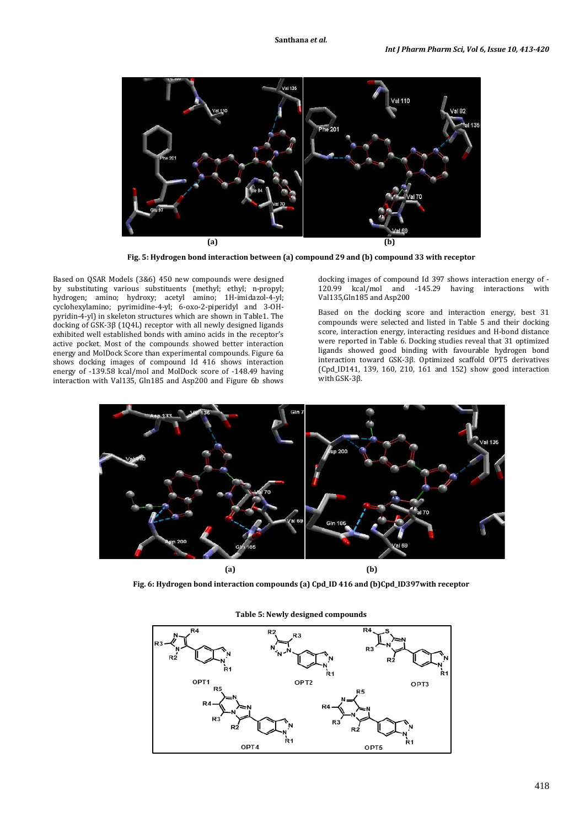

**Fig. 5: Hydrogen bond interaction between (a) compound 29 and (b) compound 33 with receptor**

Based on QSAR Models (3&6) 450 new compounds were designed by substituting various substituents (methyl; ethyl; n-propyl; hydrogen; amino; hydroxy; acetyl amino; 1H-imidazol-4-yl; cyclohexylamino; pyrimidine-4-yl; 6-oxo-2-piperidyl and 3-OHpyridin-4-yl) in skeleton structures which are shown in Table1. The docking of GSK-3β (1Q4L) receptor with all newly designed ligands exhibited well established bonds with amino acids in the receptor's active pocket. Most of the compounds showed better interaction energy and MolDock Score than experimental compounds. Figure 6a shows docking images of compound Id 416 shows interaction energy of -139.58 kcal/mol and MolDock score of -148.49 having interaction with Val135, Gln185 and Asp200 and Figure 6b shows docking images of compound Id 397 shows interaction energy of -<br>120.99 kcal/mol and -145.29 having interactions with -145.29 having interactions with Val135,Gln185 and Asp200

Based on the docking score and interaction energy, best 31 compounds were selected and listed in Table 5 and their docking score, interaction energy, interacting residues and H-bond distance were reported in Table 6. Docking studies reveal that 31 optimized ligands showed good binding with favourable hydrogen bond interaction toward GSK-3β. Optimized scaffold OPT5 derivatives (Cpd\_ID141, 139, 160, 210, 161 and 152) show good interaction with GSK-3β.



**Fig. 6: Hydrogen bond interaction compounds (a) Cpd\_ID 416 and (b)Cpd\_ID397with receptor**



**Table 5: Newly designed compounds**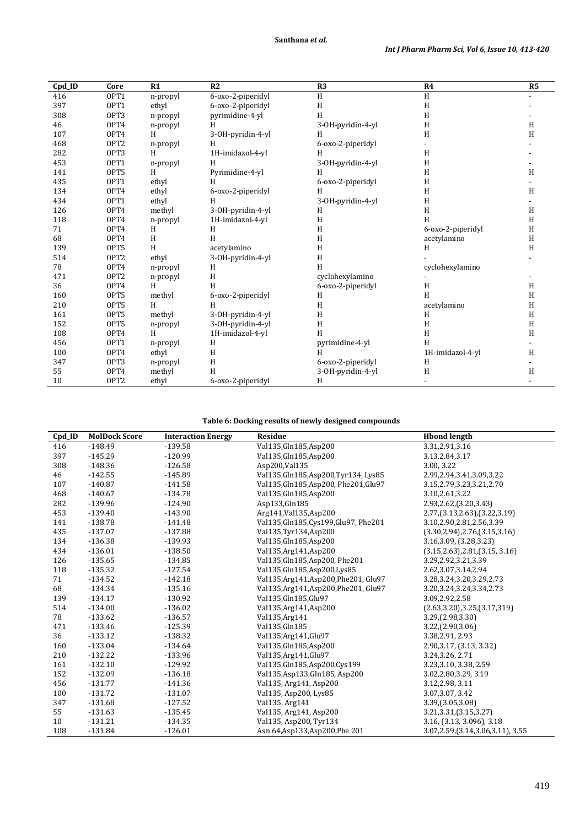| Cpd_ID | Core             | R1       | R2                | R3                | R <sub>4</sub>    | R <sub>5</sub> |
|--------|------------------|----------|-------------------|-------------------|-------------------|----------------|
| 416    | OPT1             | n-propyl | 6-oxo-2-piperidyl | H                 | H                 |                |
| 397    | OPT1             | ethyl    | 6-oxo-2-piperidyl | H                 | H                 |                |
| 308    | OPT3             | n-propyl | pyrimidine-4-yl   | H                 | H                 |                |
| 46     | OPT4             | n-propyl | H                 | 3-OH-pyridin-4-yl | $\mathbf H$       | H              |
| 107    | OPT4             | H        | 3-OH-pyridin-4-yl | Н                 | H                 | H              |
| 468    | OPT <sub>2</sub> | n-propyl | H                 | 6-oxo-2-piperidyl |                   |                |
| 282    | OPT3             | H        | 1H-imidazol-4-yl  | H                 | H                 |                |
| 453    | OPT1             | n-propyl | H                 | 3-OH-pyridin-4-yl | H                 |                |
| 141    | OPT5             | H        | Pyrimidine-4-yl   | H                 | H                 | H              |
| 435    | OPT1             | ethyl    | H                 | 6-oxo-2-piperidyl | H                 |                |
| 134    | OPT4             | ethyl    | 6-oxo-2-piperidyl | H                 | H                 | H              |
| 434    | OPT1             | ethyl    | H                 | 3-OH-pyridin-4-yl | H                 |                |
| 126    | OPT4             | methyl   | 3-OH-pyridin-4-yl | H                 | H                 | H              |
| 118    | OPT4             | n-propyl | 1H-imidazol-4-yl  | H                 | H                 | H              |
| 71     | OPT4             | H        | H                 | H                 | 6-oxo-2-piperidyl | H              |
| 68     | OPT4             | H        | H                 | H                 | acetylamino       | H              |
| 139    | OPT5             | H        | acetylamino       | H                 | H                 | H              |
| 514    | OPT <sub>2</sub> | ethyl    | 3-OH-pyridin-4-yl | H                 |                   |                |
| 78     | OPT4             | n-propyl | H                 | H                 | cyclohexylamino   |                |
| 471    | OPT <sub>2</sub> | n-propyl | H                 | cyclohexylamino   |                   |                |
| 36     | OPT4             | H        | H                 | 6-oxo-2-piperidyl | H                 | H              |
| 160    | OPT5             | methyl   | 6-oxo-2-piperidyl | H                 | H                 | H              |
| 210    | OPT5             | H        | H                 | H                 | acetylamino       | H              |
| 161    | OPT5             | methyl   | 3-OH-pyridin-4-yl | H                 | H                 | H              |
| 152    | OPT5             | n-propyl | 3-OH-pyridin-4-yl | H                 | H                 | H              |
| 108    | OPT4             | H        | 1H-imidazol-4-yl  | H                 | H                 | H              |
| 456    | OPT1             | n-propyl | H                 | pyrimidine-4-yl   | H                 |                |
| 100    | OPT4             | ethyl    | H                 | н                 | 1H-imidazol-4-yl  | Η              |
| 347    | OPT3             | n-propyl | H                 | 6-oxo-2-piperidyl | H                 |                |
| 55     | OPT4             | methyl   | H                 | 3-OH-pyridin-4-yl | H                 | H              |
| 10     | OPT <sub>2</sub> | ethyl    | 6-oxo-2-piperidyl | H                 |                   |                |

# **Table 6: Docking results of newly designed compounds**

| Cpd_ID | <b>MolDock Score</b> | <b>Interaction Energy</b> | <b>Residue</b>                         | <b>Hbond length</b>                  |
|--------|----------------------|---------------------------|----------------------------------------|--------------------------------------|
| 416    | $-148.49$            | $-139.58$                 | Val135, Gln185, Asp200                 | 3.31,2.91,3.16                       |
| 397    | $-145.29$            | $-120.99$                 | Val135, Gln185, Asp200                 | 3.13,2.84,3.17                       |
| 308    | $-148.36$            | $-126.58$                 | Asp200, Val 135                        | 3.00.3.22                            |
| 46     | $-142.55$            | $-145.89$                 | Val135, Gln185, Asp200, Tyr134, Lys85  | 2.99, 2.94, 3.41, 3.09, 3.22         |
| 107    | $-140.87$            | $-141.58$                 | Val135, Gln185, Asp200, Phe201, Glu97  | 3.15, 2.79, 3.23, 3.21, 2.70         |
| 468    | $-140.67$            | $-134.78$                 | Val135, Gln185, Asp200                 | 3.10,2.61,3.22                       |
| 282    | $-139.96$            | $-124.90$                 | Asp133, Gln185                         | 2.93, 2.62, $(3.20, 3.43)$           |
| 453    | $-139.40$            | $-143.90$                 | Arg141, Val135, Asp200                 | 2.77, (3.13, 2.63), (3.22, 3.19)     |
| 141    | $-138.78$            | $-141.48$                 | Val135, Gln185, Cys199, Glu97, Phe 201 | 3.10, 2.90, 2.81, 2.56, 3.39         |
| 435    | $-137.07$            | $-137.88$                 | Val135, Tyr134, Asp200                 | (3.30, 2.94), 2.76, (3.15, 3.16)     |
| 134    | $-136.38$            | $-139.93$                 | Val135, Gln185, Asp200                 | 3.16,3.09, (3.28,3.23)               |
| 434    | $-136.01$            | $-138.50$                 | Val135, Arg141, Asp200                 | (3.15, 2.63), 2.81, (3.15, 3.16)     |
| 126    | $-135.65$            | $-134.85$                 | Val135, Gln185, Asp200, Phe201         | 3.29, 2.92, 3.21, 3.39               |
| 118    | $-135.32$            | $-127.54$                 | Val135, Gln185, Asp200, Lys85          | 2.62, 3.07, 3.14, 2.94               |
| 71     | $-134.52$            | $-142.18$                 | Val135, Arg141, Asp200, Phe201, Glu97  | 3.28, 3.24, 3.20, 3.29, 2.73         |
| 68     | $-134.34$            | $-135.16$                 | Val135, Arg141, Asp200, Phe201, Glu97  | 3.20, 3.24, 3.24, 3.34, 2.73         |
| 139    | $-134.17$            | $-130.92$                 | Val135, Gln185, Glu97                  | 3.09,2.92,2.58                       |
| 514    | $-134.00$            | $-136.02$                 | Val135, Arg141, Asp200                 | (2.63, 3.20), 3.25, (3.17, 319)      |
| 78     | $-133.62$            | $-136.57$                 | Val135, Arg141                         | 3.29(2.98, 3.30)                     |
| 471    | $-133.46$            | $-125.39$                 | Val135, Gln185                         | $3.22$ , $(2.90, 3.06)$              |
| 36     | $-133.12$            | $-138.32$                 | Val135, Arg141, Glu97                  | 3.38,2.91, 2.93                      |
| 160    | $-133.04$            | $-134.64$                 | Val135, Gln185, Asp200                 | 2.90, 3.17, (3.13, 3.32)             |
| 210    | $-132.22$            | $-133.96$                 | Val135, Arg141, Glu97                  | 3.24, 3.26, 2.71                     |
| 161    | $-132.10$            | $-129.92$                 | Val135, Gln185, Asp200, Cys199         | 3.23, 3.10, 3.38, 2.59               |
| 152    | $-132.09$            | $-136.18$                 | Val135, Asp133, Gln185, Asp200         | 3.02,2.80,3.29, 3.19                 |
| 456    | $-131.77$            | $-141.36$                 | Val135, Arg141, Asp200                 | 3.12,2.98, 3.11                      |
| 100    | $-131.72$            | $-131.07$                 | Val135, Asp200, Lys85                  | 3.07, 3.07, 3.42                     |
| 347    | $-131.68$            | $-127.52$                 | Val135, Arg141                         | 3.39, (3.05, 3.08)                   |
| 55     | $-131.63$            | $-135.45$                 | Val135, Arg141, Asp200                 | 3.21, 3.31, $(3.15, 3.27)$           |
| 10     | $-131.21$            | $-134.35$                 | Val135, Asp200, Tyr134                 | 3.16, (3.13, 3.096), 3.18            |
| 108    | $-131.84$            | $-126.01$                 | Asn 64, Asp 133, Asp 200, Phe 201      | 3.07, 2.59, (3.14, 3.06, 3.11), 3.55 |